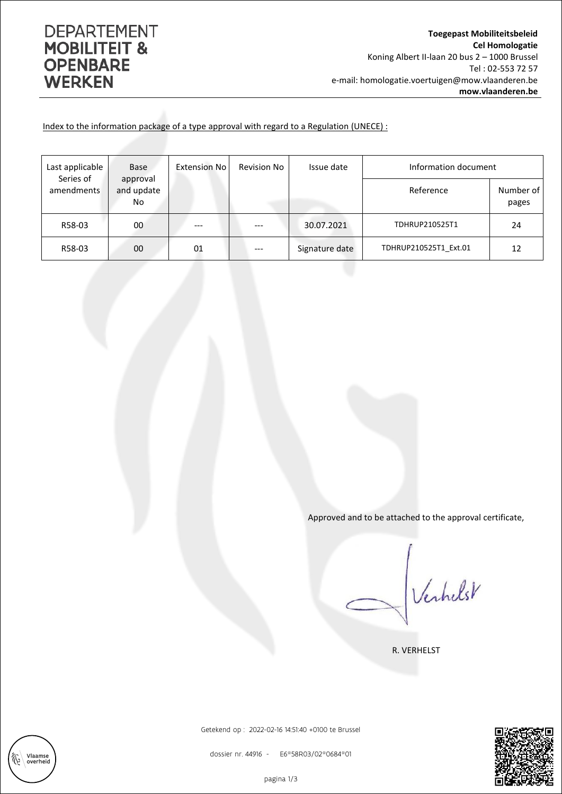## **DEPARTEMENT MOBILITEIT & OPENBARE WERKEN**

Vlaamse<br>overheid

彸

Index to the information package of a type approval with regard to a Regulation (UNECE) :

| Last applicable<br>Series of | <b>Base</b>                  | Extension No | <b>Revision No</b> | Issue date     | Information document  |                    |
|------------------------------|------------------------------|--------------|--------------------|----------------|-----------------------|--------------------|
| amendments                   | approval<br>and update<br>No |              |                    |                | Reference             | Number of<br>pages |
| R58-03                       | 00                           |              | ---                | 30.07.2021     | TDHRUP210525T1        | 24                 |
| R58-03                       | 00                           | 01           | $---$              | Signature date | TDHRUP210525T1 Ext.01 | 12                 |

Approved and to be attached to the approval certificate,

Verhelst

R. VERHELST



Getekend op : 2022-02-16 14:51:40 +0100 te Brussel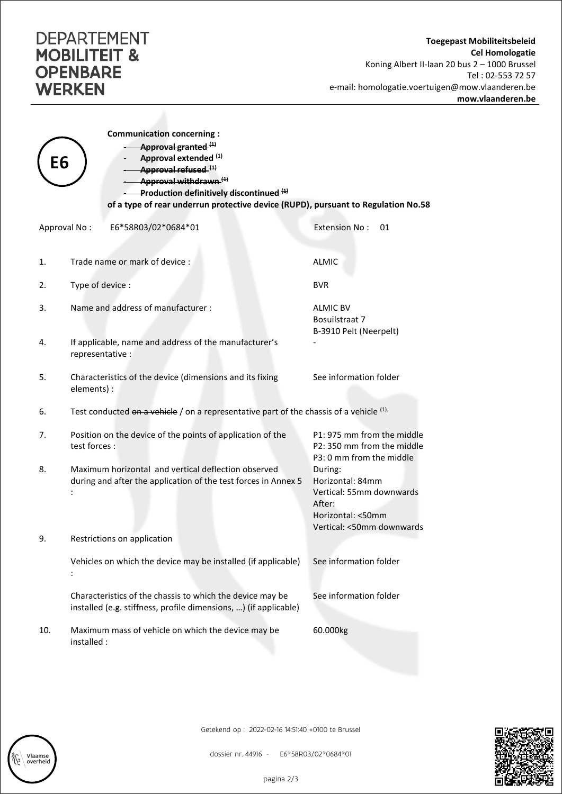## **DEPARTEMENT MOBILITEIT & OPENBARE WERKEN**

| Е6           | <b>Communication concerning:</b><br>Approval granted (1)<br>Approval extended (1)<br>Approval refused <sup>(1)</sup><br>-Approval withdrawn (1)<br>Production definitively discontinued. <sup>(1)</sup><br>of a type of rear underrun protective device (RUPD), pursuant to Regulation No.58 |                                                                                                                     |  |  |  |  |
|--------------|----------------------------------------------------------------------------------------------------------------------------------------------------------------------------------------------------------------------------------------------------------------------------------------------|---------------------------------------------------------------------------------------------------------------------|--|--|--|--|
| Approval No: | E6*58R03/02*0684*01                                                                                                                                                                                                                                                                          | <b>Extension No:</b><br>01                                                                                          |  |  |  |  |
| 1.           | Trade name or mark of device :                                                                                                                                                                                                                                                               | <b>ALMIC</b>                                                                                                        |  |  |  |  |
| 2.           | Type of device :                                                                                                                                                                                                                                                                             | <b>BVR</b>                                                                                                          |  |  |  |  |
| 3.           | Name and address of manufacturer:                                                                                                                                                                                                                                                            | <b>ALMIC BV</b><br>Bosuilstraat 7<br>B-3910 Pelt (Neerpelt)                                                         |  |  |  |  |
| 4.           | If applicable, name and address of the manufacturer's<br>representative :                                                                                                                                                                                                                    |                                                                                                                     |  |  |  |  |
| 5.           | Characteristics of the device (dimensions and its fixing<br>elements) :                                                                                                                                                                                                                      | See information folder                                                                                              |  |  |  |  |
| 6.           | Test conducted on a vehicle / on a representative part of the chassis of a vehicle <sup>(1)</sup>                                                                                                                                                                                            |                                                                                                                     |  |  |  |  |
| 7.           | Position on the device of the points of application of the<br>test forces :                                                                                                                                                                                                                  | P1: 975 mm from the middle<br>P2: 350 mm from the middle<br>P3: 0 mm from the middle                                |  |  |  |  |
| 8.           | Maximum horizontal and vertical deflection observed<br>during and after the application of the test forces in Annex 5                                                                                                                                                                        | During:<br>Horizontal: 84mm<br>Vertical: 55mm downwards<br>After:<br>Horizontal: <50mm<br>Vertical: <50mm downwards |  |  |  |  |
| 9.           | Restrictions on application                                                                                                                                                                                                                                                                  |                                                                                                                     |  |  |  |  |
|              | Vehicles on which the device may be installed (if applicable)                                                                                                                                                                                                                                | See information folder                                                                                              |  |  |  |  |
|              | Characteristics of the chassis to which the device may be<br>installed (e.g. stiffness, profile dimensions, ) (if applicable)                                                                                                                                                                | See information folder                                                                                              |  |  |  |  |
| 10.          | Maximum mass of vehicle on which the device may be<br>installed :                                                                                                                                                                                                                            | 60.000kg                                                                                                            |  |  |  |  |